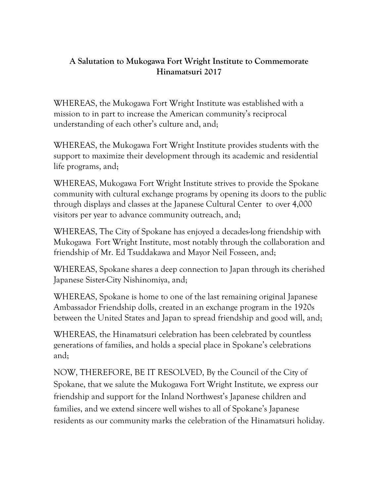## **A Salutation to Mukogawa Fort Wright Institute to Commemorate Hinamatsuri 2017**

WHEREAS, the Mukogawa Fort Wright Institute was established with a mission to in part to increase the American community's reciprocal understanding of each other's culture and, and;

WHEREAS, the Mukogawa Fort Wright Institute provides students with the support to maximize their development through its academic and residential life programs, and;

WHEREAS, Mukogawa Fort Wright Institute strives to provide the Spokane community with cultural exchange programs by opening its doors to the public through displays and classes at the Japanese Cultural Center to over 4,000 visitors per year to advance community outreach, and;

WHEREAS, The City of Spokane has enjoyed a decades-long friendship with Mukogawa Fort Wright Institute, most notably through the collaboration and friendship of Mr. Ed Tsuddakawa and Mayor Neil Fosseen, and;

WHEREAS, Spokane shares a deep connection to Japan through its cherished Japanese Sister-City Nishinomiya, and;

WHEREAS, Spokane is home to one of the last remaining original Japanese Ambassador Friendship dolls, created in an exchange program in the 1920s between the United States and Japan to spread friendship and good will, and;

WHEREAS, the Hinamatsuri celebration has been celebrated by countless generations of families, and holds a special place in Spokane's celebrations and;

NOW, THEREFORE, BE IT RESOLVED, By the Council of the City of Spokane, that we salute the Mukogawa Fort Wright Institute, we express our friendship and support for the Inland Northwest's Japanese children and families, and we extend sincere well wishes to all of Spokane's Japanese residents as our community marks the celebration of the Hinamatsuri holiday.